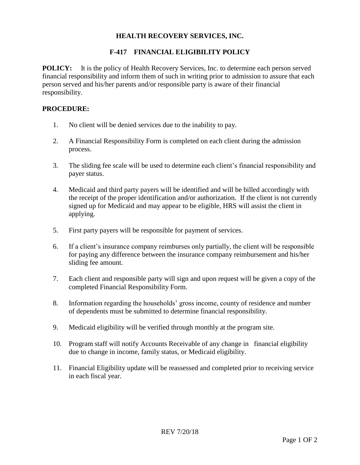## **HEALTH RECOVERY SERVICES, INC.**

## **F-417 FINANCIAL ELIGIBILITY POLICY**

**POLICY:** It is the policy of Health Recovery Services, Inc. to determine each person served financial responsibility and inform them of such in writing prior to admission to assure that each person served and his/her parents and/or responsible party is aware of their financial responsibility.

## **PROCEDURE:**

- 1. No client will be denied services due to the inability to pay.
- 2. A Financial Responsibility Form is completed on each client during the admission process.
- 3. The sliding fee scale will be used to determine each client's financial responsibility and payer status.
- 4. Medicaid and third party payers will be identified and will be billed accordingly with the receipt of the proper identification and/or authorization. If the client is not currently signed up for Medicaid and may appear to be eligible, HRS will assist the client in applying.
- 5. First party payers will be responsible for payment of services.
- 6. If a client's insurance company reimburses only partially, the client will be responsible for paying any difference between the insurance company reimbursement and his/her sliding fee amount.
- 7. Each client and responsible party will sign and upon request will be given a copy of the completed Financial Responsibility Form.
- 8. Information regarding the households' gross income, county of residence and number of dependents must be submitted to determine financial responsibility.
- 9. Medicaid eligibility will be verified through monthly at the program site.
- 10. Program staff will notify Accounts Receivable of any change in financial eligibility due to change in income, family status, or Medicaid eligibility.
- 11. Financial Eligibility update will be reassessed and completed prior to receiving service in each fiscal year.